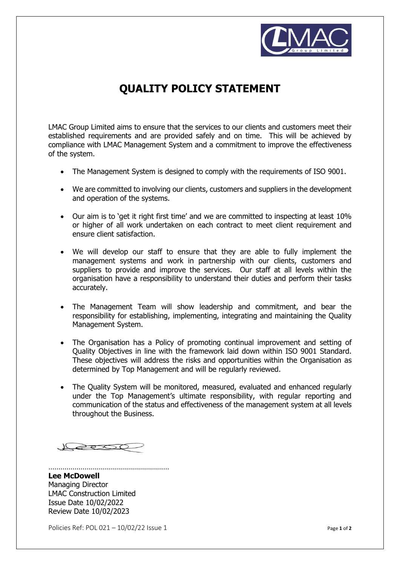

## **QUALITY POLICY STATEMENT**

LMAC Group Limited aims to ensure that the services to our clients and customers meet their established requirements and are provided safely and on time. This will be achieved by compliance with LMAC Management System and a commitment to improve the effectiveness of the system.

- The Management System is designed to comply with the requirements of ISO 9001.
- We are committed to involving our clients, customers and suppliers in the development and operation of the systems.
- Our aim is to 'get it right first time' and we are committed to inspecting at least 10% or higher of all work undertaken on each contract to meet client requirement and ensure client satisfaction.
- We will develop our staff to ensure that they are able to fully implement the management systems and work in partnership with our clients, customers and suppliers to provide and improve the services. Our staff at all levels within the organisation have a responsibility to understand their duties and perform their tasks accurately.
- The Management Team will show leadership and commitment, and bear the responsibility for establishing, implementing, integrating and maintaining the Quality Management System.
- The Organisation has a Policy of promoting continual improvement and setting of Quality Objectives in line with the framework laid down within ISO 9001 Standard. These objectives will address the risks and opportunities within the Organisation as determined by Top Management and will be regularly reviewed.
- The Quality System will be monitored, measured, evaluated and enhanced regularly under the Top Management's ultimate responsibility, with regular reporting and communication of the status and effectiveness of the management system at all levels throughout the Business.

2000

……………………………………………………

**Lee McDowell** Managing Director LMAC Construction Limited Issue Date 10/02/2022 Review Date 10/02/2023

Policies Ref: POL 021 – 10/02/22 Issue 1 **Page 1** of **2** Page 1 of **2**